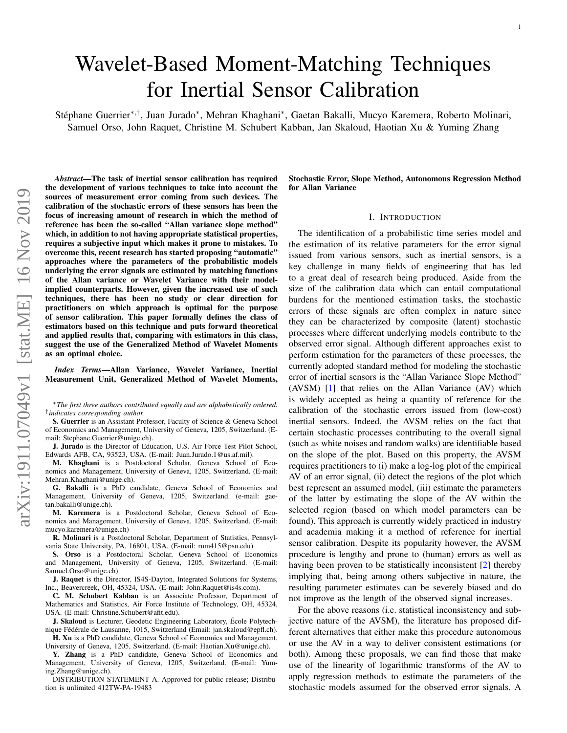# Wavelet-Based Moment-Matching Techniques for Inertial Sensor Calibration

Stéphane Guerrier\*<sup>,†</sup>, Juan Jurado\*, Mehran Khaghani\*, Gaetan Bakalli, Mucyo Karemera, Roberto Molinari, Samuel Orso, John Raquet, Christine M. Schubert Kabban, Jan Skaloud, Haotian Xu & Yuming Zhang

*Abstract*—The task of inertial sensor calibration has required the development of various techniques to take into account the sources of measurement error coming from such devices. The calibration of the stochastic errors of these sensors has been the focus of increasing amount of research in which the method of reference has been the so-called "Allan variance slope method" which, in addition to not having appropriate statistical properties, requires a subjective input which makes it prone to mistakes. To overcome this, recent research has started proposing "automatic" approaches where the parameters of the probabilistic models underlying the error signals are estimated by matching functions of the Allan variance or Wavelet Variance with their modelimplied counterparts. However, given the increased use of such techniques, there has been no study or clear direction for practitioners on which approach is optimal for the purpose of sensor calibration. This paper formally defines the class of estimators based on this technique and puts forward theoretical and applied results that, comparing with estimators in this class, suggest the use of the Generalized Method of Wavelet Moments as an optimal choice.

*Index Terms*—Allan Variance, Wavelet Variance, Inertial Measurement Unit, Generalized Method of Wavelet Moments,

<sup>∗</sup>*The first three authors contributed equally and are alphabetically ordered.* † *indicates corresponding author.*

S. Guerrier is an Assistant Professor, Faculty of Science & Geneva School of Economics and Management, University of Geneva, 1205, Switzerland. (Email: Stephane.Guerrier@unige.ch).

J. Jurado is the Director of Education, U.S. Air Force Test Pilot School, Edwards AFB, CA, 93523, USA. (E-mail: Juan.Jurado.1@us.af.mil).

M. Khaghani is a Postdoctoral Scholar, Geneva School of Economics and Management, University of Geneva, 1205, Switzerland. (E-mail: Mehran.Khaghani@unige.ch).

G. Bakalli is a PhD candidate, Geneva School of Economics and Management, University of Geneva, 1205, Switzerland. (e-mail: gaetan.bakalli@unige.ch).

M. Karemera is a Postdoctoral Scholar, Geneva School of Economics and Management, University of Geneva, 1205, Switzerland. (E-mail: mucyo.karemera@unige.ch)

R. Molinari is a Postdoctoral Scholar, Department of Statistics, Pennsylvania State University, PA, 16801, USA. (E-mail: rum415@psu.edu)

S. Orso is a Postdoctoral Scholar, Geneva School of Economics and Management, University of Geneva, 1205, Switzerland. (E-mail: Samuel.Orso@unige.ch)

J. Raquet is the Director, IS4S-Dayton, Integrated Solutions for Systems, Inc., Beavercreek, OH, 45324, USA. (E-mail: John.Raquet@is4s.com).

C. M. Schubert Kabban is an Associate Professor, Department of Mathematics and Statistics, Air Force Institute of Technology, OH, 45324, USA. (E-mail: Christine.Schubert@afit.edu).

J. Skaloud is Lecturer, Geodetic Engineering Laboratory, École Polytechnique Fédérale de Lausanne, 1015, Switzerland (Email: jan.skaloud@epfl.ch). H. Xu is a PhD candidate, Geneva School of Economics and Management,

University of Geneva, 1205, Switzerland. (E-mail: Haotian.Xu@unige.ch).

Y. Zhang is a PhD candidate, Geneva School of Economics and Management, University of Geneva, 1205, Switzerland. (E-mail: Yuming.Zhang@unige.ch).

DISTRIBUTION STATEMENT A. Approved for public release; Distribution is unlimited 412TW-PA-19483

Stochastic Error, Slope Method, Autonomous Regression Method for Allan Variance

## I. INTRODUCTION

The identification of a probabilistic time series model and the estimation of its relative parameters for the error signal issued from various sensors, such as inertial sensors, is a key challenge in many fields of engineering that has led to a great deal of research being produced. Aside from the size of the calibration data which can entail computational burdens for the mentioned estimation tasks, the stochastic errors of these signals are often complex in nature since they can be characterized by composite (latent) stochastic processes where different underlying models contribute to the observed error signal. Although different approaches exist to perform estimation for the parameters of these processes, the currently adopted standard method for modeling the stochastic error of inertial sensors is the "Allan Variance Slope Method" (AVSM) [\[1\]](#page-7-0) that relies on the Allan Variance (AV) which is widely accepted as being a quantity of reference for the calibration of the stochastic errors issued from (low-cost) inertial sensors. Indeed, the AVSM relies on the fact that certain stochastic processes contributing to the overall signal (such as white noises and random walks) are identifiable based on the slope of the plot. Based on this property, the AVSM requires practitioners to (i) make a log-log plot of the empirical AV of an error signal, (ii) detect the regions of the plot which best represent an assumed model, (iii) estimate the parameters of the latter by estimating the slope of the AV within the selected region (based on which model parameters can be found). This approach is currently widely practiced in industry and academia making it a method of reference for inertial sensor calibration. Despite its popularity however, the AVSM procedure is lengthy and prone to (human) errors as well as having been proven to be statistically inconsistent [\[2\]](#page-7-1) thereby implying that, being among others subjective in nature, the resulting parameter estimates can be severely biased and do not improve as the length of the observed signal increases.

For the above reasons (i.e. statistical inconsistency and subjective nature of the AVSM), the literature has proposed different alternatives that either make this procedure autonomous or use the AV in a way to deliver consistent estimations (or both). Among these proposals, we can find those that make use of the linearity of logarithmic transforms of the AV to apply regression methods to estimate the parameters of the stochastic models assumed for the observed error signals. A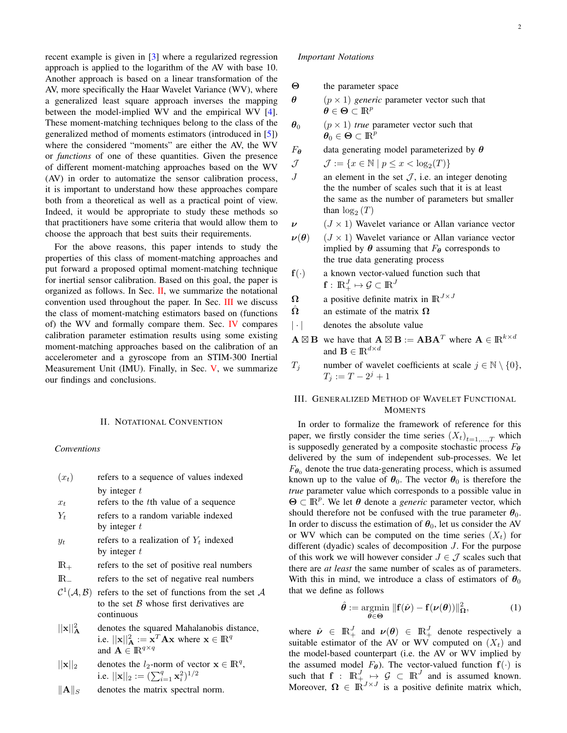recent example is given in [\[3\]](#page-7-2) where a regularized regression approach is applied to the logarithm of the AV with base 10. Another approach is based on a linear transformation of the AV, more specifically the Haar Wavelet Variance (WV), where a generalized least square approach inverses the mapping between the model-implied WV and the empirical WV [\[4\]](#page-7-3). These moment-matching techniques belong to the class of the generalized method of moments estimators (introduced in [\[5\]](#page-7-4)) where the considered "moments" are either the AV, the WV or *functions* of one of these quantities. Given the presence of different moment-matching approaches based on the WV (AV) in order to automatize the sensor calibration process, it is important to understand how these approaches compare both from a theoretical as well as a practical point of view. Indeed, it would be appropriate to study these methods so that practitioners have some criteria that would allow them to choose the approach that best suits their requirements.

For the above reasons, this paper intends to study the properties of this class of moment-matching approaches and put forward a proposed optimal moment-matching technique for inertial sensor calibration. Based on this goal, the paper is organized as follows. In Sec.  $II$ , we summarize the notational convention used throughout the paper. In Sec. [III](#page-1-1) we discuss the class of moment-matching estimators based on (functions of) the WV and formally compare them. Sec. [IV](#page-6-0) compares calibration parameter estimation results using some existing moment-matching approaches based on the calibration of an accelerometer and a gyroscope from an STIM-300 Inertial Measurement Unit (IMU). Finally, in Sec. [V,](#page-7-5) we summarize our findings and conclusions.

#### II. NOTATIONAL CONVENTION

### <span id="page-1-0"></span>*Conventions*

- $(x_t)$  refers to a sequence of values indexed by integer  $t$
- $x_t$  refers to the the value of a sequence
- $Y_t$  refers to a random variable indexed by integer  $t$
- $y_t$  refers to a realization of  $Y_t$  indexed by integer  $t$
- $\mathbb{R}_+$  refers to the set of positive real numbers
- IR<sup>−</sup> refers to the set of negative real numbers
- $C^1(\mathcal{A}, \mathcal{B})$  refers to the set of functions from the set A to the set  $\beta$  whose first derivatives are continuous
- $||\mathbf{x}||_A^2$ denotes the squared Mahalanobis distance, i.e.  $||\mathbf{x}||_A^2 := \mathbf{x}^T \mathbf{A} \mathbf{x}$  where  $\mathbf{x} \in \mathbb{R}^q$ and  $\mathbf{A} \in \mathbb{R}^{q \times q}$
- $||\mathbf{x}||_2$  denotes the  $l_2$ -norm of vector  $\mathbf{x} \in \mathbb{R}^q$ , i.e.  $||\mathbf{x}||_2 := (\sum_{i=1}^q \mathbf{x}_i^2)^{1/2}$
- $\|\mathbf{A}\|_{S}$  denotes the matrix spectral norm.

# *Important Notations*

- Θ the parameter space
- $\theta$  ( $p \times 1$ ) *generic* parameter vector such that  $\boldsymbol{\theta} \in \boldsymbol{\Theta} \subset \mathbb{R}^p$
- $\theta_0$  ( $p \times 1$ ) *true* parameter vector such that  $\boldsymbol{\theta}_0 \in \boldsymbol{\Theta} \subset \mathbb{R}^p$

 $F_{\theta}$  data generating model parameterized by  $\theta$ 

$$
\mathcal{J} \qquad \mathcal{J} := \{ x \in \mathbb{N} \mid p \leq x < \log_2(T) \}
$$

- $J$  an element in the set  $J$ , i.e. an integer denoting the the number of scales such that it is at least the same as the number of parameters but smaller than  $log_2(T)$
- $\nu$  (*J* × 1) Wavelet variance or Allan variance vector
- $\nu(\theta)$  (*J* × 1) Wavelet variance or Allan variance vector implied by  $\theta$  assuming that  $F_{\theta}$  corresponds to the true data generating process
- $f(\cdot)$  a known vector-valued function such that  $\mathbf{f}:\,\mathrm{I\!R}_+^J\mapsto\mathcal{G}\subset\mathrm{I\!R}^J$
- $\Omega$  a positive definite matrix in  $\mathbb{R}^{J \times J}$
- $\hat{\Omega}$  an estimate of the matrix  $\Omega$
- | · | denotes the absolute value
- $A \boxtimes B$  we have that  $A \boxtimes B := ABA^T$  where  $A \in \mathbb{R}^{k \times d}$ and  $\mathbf{B} \in {\rm I\!R}^{d \times d}$
- $T_j$  number of wavelet coefficients at scale  $j \in \mathbb{N} \setminus \{0\},$  $T_j := T - 2^j + 1$

# <span id="page-1-1"></span>III. GENERALIZED METHOD OF WAVELET FUNCTIONAL **MOMENTS**

In order to formalize the framework of reference for this paper, we firstly consider the time series  $(X_t)_{t=1,\dots,T}$  which is supposedly generated by a composite stochastic process  $F_{\theta}$ delivered by the sum of independent sub-processes. We let  $F_{\theta_0}$  denote the true data-generating process, which is assumed known up to the value of  $\theta_0$ . The vector  $\theta_0$  is therefore the *true* parameter value which corresponds to a possible value in  $\Theta \subset \mathbb{R}^p$ . We let  $\theta$  denote a *generic* parameter vector, which should therefore not be confused with the true parameter  $\theta_0$ . In order to discuss the estimation of  $\theta_0$ , let us consider the AV or WV which can be computed on the time series  $(X_t)$  for different (dyadic) scales of decomposition J. For the purpose of this work we will however consider  $J \in \mathcal{J}$  scales such that there are *at least* the same number of scales as of parameters. With this in mind, we introduce a class of estimators of  $\theta_0$ that we define as follows

<span id="page-1-2"></span>
$$
\hat{\boldsymbol{\theta}} := \underset{\boldsymbol{\theta} \in \boldsymbol{\Theta}}{\operatorname{argmin}} \ \|\mathbf{f}(\hat{\boldsymbol{\nu}}) - \mathbf{f}(\boldsymbol{\nu}(\boldsymbol{\theta}))\|_{\Omega}^2, \tag{1}
$$

where  $\hat{\nu} \in \mathbb{R}_+^J$  and  $\nu(\theta) \in \mathbb{R}_+^J$  denote respectively a suitable estimator of the AV or WV computed on  $(X_t)$  and the model-based counterpart (i.e. the AV or WV implied by the assumed model  $F_{\theta}$ ). The vector-valued function  $f(\cdot)$  is such that  $f : \mathbb{R}^J_+ \to \mathcal{G} \subset \mathbb{R}^J$  and is assumed known. Moreover,  $\Omega \in \mathbb{R}^{J \times J}$  is a positive definite matrix which,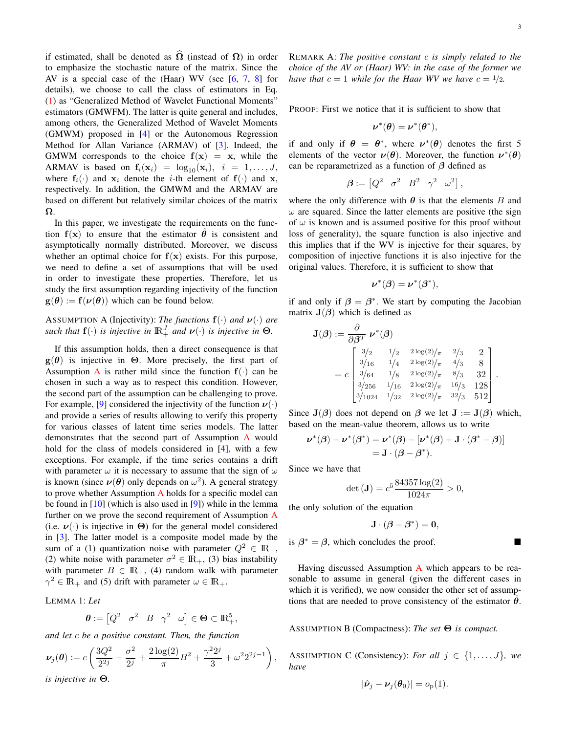if estimated, shall be denoted as  $\Omega$  (instead of  $\Omega$ ) in order to emphasize the stochastic nature of the matrix. Since the AV is a special case of the (Haar) WV (see [\[6,](#page-7-6) [7,](#page-7-7) [8\]](#page-7-8) for details), we choose to call the class of estimators in Eq. [\(1\)](#page-1-2) as "Generalized Method of Wavelet Functional Moments" estimators (GMWFM). The latter is quite general and includes, among others, the Generalized Method of Wavelet Moments (GMWM) proposed in [\[4\]](#page-7-3) or the Autonomous Regression Method for Allan Variance (ARMAV) of [\[3\]](#page-7-2). Indeed, the GMWM corresponds to the choice  $f(x) = x$ , while the ARMAV is based on  $f_i(\mathbf{x}_i) = \log_{10}(\mathbf{x}_i), i = 1, \ldots, J$ , where  $f_i(\cdot)$  and  $x_i$  denote the *i*-th element of  $f(\cdot)$  and x, respectively. In addition, the GMWM and the ARMAV are based on different but relatively similar choices of the matrix Ω.

In this paper, we investigate the requirements on the function  $f(x)$  to ensure that the estimator  $\theta$  is consistent and asymptotically normally distributed. Moreover, we discuss whether an optimal choice for  $f(x)$  exists. For this purpose, we need to define a set of assumptions that will be used in order to investigate these properties. Therefore, let us study the first assumption regarding injectivity of the function  $g(\theta) := f(\nu(\theta))$  which can be found below.

<span id="page-2-0"></span>ASSUMPTION A (Injectivity): *The functions*  $f(\cdot)$  *and*  $v(\cdot)$  *are such that*  $f(\cdot)$  *is injective in*  $\mathbb{R}^J_+$  *and*  $\nu(\cdot)$  *is injective in*  $\Theta$ *.* 

If this assumption holds, then a direct consequence is that  $g(\theta)$  is injective in  $\Theta$ . More precisely, the first part of [A](#page-2-0)ssumption A is rather mild since the function  $f(.)$  can be chosen in such a way as to respect this condition. However, the second part of the assumption can be challenging to prove. For example, [\[9\]](#page-7-9) considered the injectivity of the function  $\nu(\cdot)$ and provide a series of results allowing to verify this property for various classes of latent time series models. The latter demonstrates that the second part of Assumption [A](#page-2-0) would hold for the class of models considered in [\[4\]](#page-7-3), with a few exceptions. For example, if the time series contains a drift with parameter  $\omega$  it is necessary to assume that the sign of  $\omega$ is known (since  $\nu(\theta)$  only depends on  $\omega^2$ ). A general strategy to prove whether [A](#page-2-0)ssumption  $\overline{A}$  holds for a specific model can be found in [\[10\]](#page-7-10) (which is also used in [\[9\]](#page-7-9)) while in the lemma further on we prove the second requirement of Assumption [A](#page-2-0) (i.e.  $\nu(\cdot)$  is injective in  $\Theta$ ) for the general model considered in [\[3\]](#page-7-2). The latter model is a composite model made by the sum of a (1) quantization noise with parameter  $Q^2 \in \mathbb{R}_+$ , (2) white noise with parameter  $\sigma^2 \in \mathbb{R}_+$ , (3) bias instability with parameter  $B \in \mathbb{R}_+$ , (4) random walk with parameter  $\gamma^2 \in \mathbb{R}_+$  and (5) drift with parameter  $\omega \in \mathbb{R}_+$ .

<span id="page-2-3"></span>LEMMA 1: *Let*

$$
\boldsymbol{\theta} := \begin{bmatrix} Q^2 & \sigma^2 & B & \gamma^2 & \omega \end{bmatrix} \in \boldsymbol{\Theta} \subset \mathbb{R}^5_+,
$$

*and let* c *be a positive constant. Then, the function*

$$
\nu_j(\theta) := c \left( \frac{3Q^2}{2^{2j}} + \frac{\sigma^2}{2^j} + \frac{2 \log(2)}{\pi} B^2 + \frac{\gamma^2 2^j}{3} + \omega^2 2^{2j-1} \right),
$$

*is injective in* Θ*.*

REMARK A: *The positive constant* c *is simply related to the choice of the AV or (Haar) WV: in the case of the former we have that*  $c = 1$  *while for the Haar WV we have*  $c = \frac{1}{2}$ .

PROOF: First we notice that it is sufficient to show that

$$
\boldsymbol{\nu}^*(\boldsymbol{\theta}) = \boldsymbol{\nu}^*(\boldsymbol{\theta}^*),
$$

if and only if  $\theta = \theta^*$ , where  $\nu^*(\theta)$  denotes the first 5 elements of the vector  $\nu(\theta)$ . Moreover, the function  $\nu^*(\theta)$ can be reparametrized as a function of  $\beta$  defined as

$$
\boldsymbol{\beta}:=\begin{bmatrix}Q^2 & \sigma^2 & B^2 & \gamma^2 & \omega^2\end{bmatrix},
$$

where the only difference with  $\theta$  is that the elements B and  $\omega$  are squared. Since the latter elements are positive (the sign of  $\omega$  is known and is assumed positive for this proof without loss of generality), the square function is also injective and this implies that if the WV is injective for their squares, by composition of injective functions it is also injective for the original values. Therefore, it is sufficient to show that

$$
\boldsymbol{\nu}^*(\boldsymbol{\beta}) = \boldsymbol{\nu}^*(\boldsymbol{\beta}^*),
$$

if and only if  $\beta = \beta^*$ . We start by computing the Jacobian matrix  $J(\beta)$  which is defined as

$$
\mathbf{J}(\boldsymbol{\beta}) := \frac{\partial}{\partial \boldsymbol{\beta}^T} \boldsymbol{\nu}^*(\boldsymbol{\beta})
$$
  
=  $c \begin{bmatrix} 3/2 & 1/2 & 2\log(2)/\pi & 2/3 & 2 \\ 3/16 & 1/4 & 2\log(2)/\pi & 4/3 & 8 \\ 3/64 & 1/8 & 2\log(2)/\pi & 8/3 & 32 \\ 3/256 & 1/16 & 2\log(2)/\pi & 16/3 & 128 \\ 3/1024 & 1/32 & 2\log(2)/\pi & 32/3 & 512 \end{bmatrix}.$ 

Since  $J(\beta)$  does not depend on  $\beta$  we let  $J := J(\beta)$  which, based on the mean-value theorem, allows us to write

$$
\nu^*(\beta) - \nu^*(\beta^*) = \nu^*(\beta) - [\nu^*(\beta) + \mathbf{J} \cdot (\beta^* - \beta)]
$$
  
=  $\mathbf{J} \cdot (\beta - \beta^*).$ 

Since we have that

$$
\det(\mathbf{J}) = c^5 \frac{84357 \log(2)}{1024\pi} > 0,
$$

the only solution of the equation

$$
\mathbf{J}\cdot(\boldsymbol{\beta}-\boldsymbol{\beta}^*)=\mathbf{0},
$$

is  $\beta^* = \beta$ , which concludes the proof.

Having discussed [A](#page-2-0)ssumption  $\bf{A}$  which appears to be reasonable to assume in general (given the different cases in which it is verified), we now consider the other set of assumptions that are needed to prove consistency of the estimator  $\hat{\theta}$ .

<span id="page-2-1"></span>ASSUMPTION B (Compactness): *The set* Θ *is compact.*

<span id="page-2-2"></span>ASSUMPTION C (Consistency): *For all*  $j \in \{1, \ldots, J\}$ *, we have*

$$
|\hat{\boldsymbol{\nu}}_j - \boldsymbol{\nu}_j(\boldsymbol{\theta}_0)| = o_p(1).
$$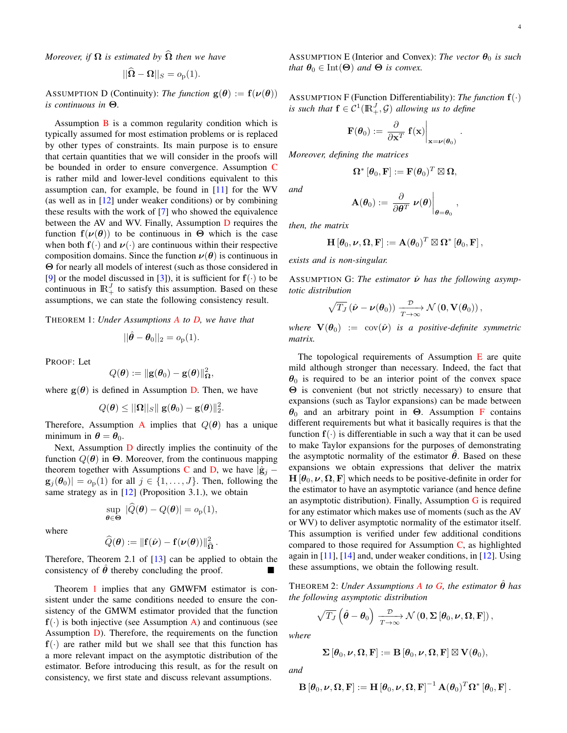*Moreover, if*  $\Omega$  *is estimated by*  $\Omega$  *then we have* 

$$
||\mathbf{\Omega} - \mathbf{\Omega}||_S = o_p(1).
$$

<span id="page-3-0"></span>ASSUMPTION D (Continuity): *The function*  $g(\theta) := f(\nu(\theta))$ *is continuous in* Θ*.*

Assumption  $\bf{B}$  $\bf{B}$  $\bf{B}$  is a common regularity condition which is typically assumed for most estimation problems or is replaced by other types of constraints. Its main purpose is to ensure that certain quantities that we will consider in the proofs will be bounded in order to ensure convergence. Assumption [C](#page-2-2) is rather mild and lower-level conditions equivalent to this assumption can, for example, be found in [\[11\]](#page-7-11) for the WV (as well as in  $[12]$  under weaker conditions) or by combining these results with the work of [\[7\]](#page-7-7) who showed the equivalence between the AV and WV. Finally, Assumption [D](#page-3-0) requires the function  $f(\nu(\theta))$  to be continuous in  $\Theta$  which is the case when both  $f(\cdot)$  and  $\nu(\cdot)$  are continuous within their respective composition domains. Since the function  $\nu(\theta)$  is continuous in Θ for nearly all models of interest (such as those considered in [\[9\]](#page-7-9) or the model discussed in [\[3\]](#page-7-2)), it is sufficient for  $f(\cdot)$  to be continuous in  $\mathbb{R}^{J}_{+}$  to satisfy this assumption. Based on these assumptions, we can state the following consistency result.

<span id="page-3-1"></span>THEOREM 1: *Under Assumptions [A](#page-2-0) to [D,](#page-3-0) we have that*

$$
||\hat{\boldsymbol{\theta}} - \boldsymbol{\theta}_0||_2 = o_p(1).
$$

PROOF: Let

$$
Q(\boldsymbol{\theta}) := \|\mathbf{g}(\boldsymbol{\theta}_0) - \mathbf{g}(\boldsymbol{\theta})\|_{\boldsymbol{\Omega}}^2,
$$

where  $g(\theta)$  is defined in Assumption [D.](#page-3-0) Then, we have

$$
Q(\boldsymbol{\theta}) \le ||\boldsymbol{\Omega}||_S || \mathbf{g}(\boldsymbol{\theta}_0) - \mathbf{g}(\boldsymbol{\theta})||_2^2.
$$

Therefore, [A](#page-2-0)ssumption A implies that  $Q(\theta)$  has a unique minimum in  $\theta = \theta_0$ .

Next, Assumption [D](#page-3-0) directly implies the continuity of the function  $Q(\theta)$  in  $\Theta$ . Moreover, from the continuous mapping theorem together with Assumptions [C](#page-2-2) and [D,](#page-3-0) we have  $|\hat{\mathbf{g}}_i \mathbf{g}_i(\theta_0)| = o_p(1)$  for all  $j \in \{1, \ldots, J\}$ . Then, following the same strategy as in  $[12]$  (Proposition 3.1.), we obtain

$$
\sup_{\boldsymbol{\theta}\in\boldsymbol{\Theta}}|\widehat{Q}(\boldsymbol{\theta})-Q(\boldsymbol{\theta})|=o_{p}(1),
$$

where

$$
\widehat{Q}(\boldsymbol{\theta}) := \|\mathbf{f}(\hat{\boldsymbol{\nu}}) - \mathbf{f}(\boldsymbol{\nu}(\boldsymbol{\theta}))\|^2_{\widehat{\boldsymbol{\Omega}}} \,.
$$

Therefore, Theorem 2.1 of [\[13\]](#page-7-13) can be applied to obtain the consistency of  $\hat{\theta}$  thereby concluding the proof.

Theorem [1](#page-3-1) implies that any GMWFM estimator is consistent under the same conditions needed to ensure the consistency of the GMWM estimator provided that the function  $f(\cdot)$  is both injective (see Assumption [A\)](#page-2-0) and continuous (see Assumption [D\)](#page-3-0). Therefore, the requirements on the function  $f(\cdot)$  are rather mild but we shall see that this function has a more relevant impact on the asymptotic distribution of the estimator. Before introducing this result, as for the result on consistency, we first state and discuss relevant assumptions.

<span id="page-3-2"></span>ASSUMPTION E (Interior and Convex): *The vector*  $\theta_0$  *is such that*  $\theta_0 \in \text{Int}(\Theta)$  *and*  $\Theta$  *is convex.* 

<span id="page-3-3"></span>ASSUMPTION F (Function Differentiability): *The function* f(·) *is such that*  $f \in C^1(\mathbb{R}^J_+, \mathcal{G})$  *allowing us to define* 

$$
\mathbf{F}(\boldsymbol{\theta}_0) := \left. \frac{\partial}{\partial \mathbf{x}^T} \mathbf{f}(\mathbf{x}) \right|_{\mathbf{x} = \boldsymbol{\nu}(\boldsymbol{\theta}_0)}
$$

.

,

*Moreover, defining the matrices*

$$
\mathbf{\Omega}^* \left[ \boldsymbol{\theta}_0 , \mathbf{F} \right] := \mathbf{F}(\boldsymbol{\theta}_0)^T \boxtimes \mathbf{\Omega},
$$

 $\mathbf{A}(\boldsymbol{\theta}_0) := \left.\frac{\partial}{\partial \boldsymbol{\theta}^T} \ \boldsymbol{\nu}(\boldsymbol{\theta})\right|_{\boldsymbol{\theta} = \boldsymbol{\theta}_0}$ 

*then, the matrix*

*and*

$$
\mathbf{H}\left[\pmb\theta_{0},\pmb\nu,\pmb\Omega,\mathbf{F}\right]:=\mathbf{A}(\pmb\theta_{0})^{T}\boxtimes\pmb\Omega^*\left[\pmb\theta_{0},\mathbf{F}\right],
$$

*exists and is non-singular.*

<span id="page-3-4"></span>ASSUMPTION G: *The estimator*  $\hat{ν}$  *has the following asymptotic distribution*

$$
\sqrt{T_J} \left( \hat{\boldsymbol{\nu}} - \boldsymbol{\nu}(\boldsymbol{\theta}_0) \right) \xrightarrow[T \to \infty]{\mathcal{D}} \mathcal{N} \left( \mathbf{0}, \mathbf{V}(\boldsymbol{\theta}_0) \right),
$$

*where*  $\mathbf{V}(\boldsymbol{\theta}_0) := \text{cov}(\hat{\boldsymbol{\nu}})$  *is a positive-definite symmetric matrix.*

The topological requirements of Assumption  $E$  are quite mild although stronger than necessary. Indeed, the fact that  $\theta_0$  is required to be an interior point of the convex space Θ is convenient (but not strictly necessary) to ensure that expansions (such as Taylor expansions) can be made between  $\theta_0$  and an arbitrary point in  $\Theta$ . Assumption [F](#page-3-3) contains different requirements but what it basically requires is that the function  $f(\cdot)$  is differentiable in such a way that it can be used to make Taylor expansions for the purposes of demonstrating the asymptotic normality of the estimator  $\theta$ . Based on these expansions we obtain expressions that deliver the matrix  $H[\theta_0, \nu, \Omega, F]$  which needs to be positive-definite in order for the estimator to have an asymptotic variance (and hence define an asymptotic distribution). Finally, Assumption  $G$  is required for any estimator which makes use of moments (such as the AV or WV) to deliver asymptotic normality of the estimator itself. This assumption is verified under few additional conditions compared to those required for Assumption  $C$ , as highlighted again in  $[11]$ ,  $[14]$  and, under weaker conditions, in  $[12]$ . Using these assumptions, we obtain the following result.

<span id="page-3-5"></span>THEOREM 2: *Under [A](#page-2-0)ssumptions A to [G,](#page-3-4) the estimator*  $\hat{\theta}$  *has the following asymptotic distribution*

$$
\sqrt{T_J}\left(\hat{\theta}-\theta_0\right)\xrightarrow[T\to\infty]{\mathcal{D}} \mathcal{N}\left(\mathbf{0},\boldsymbol{\Sigma}\left[\theta_0,\boldsymbol{\nu},\boldsymbol{\Omega},\mathbf{F}\right]\right),\,
$$

*where*

$$
\Sigma\left[\pmb\theta_0,\pmb\nu,\pmb\Omega,\mathbf{F}\right]:=\mathbf{B}\left[\pmb\theta_0,\pmb\nu,\pmb\Omega,\mathbf{F}\right]\boxtimes\mathbf{V}(\pmb\theta_0),
$$

*and*

$$
\mathbf{B}\left[\pmb\theta_0,\pmb\nu,\pmb\Omega,\mathbf{F}\right]:=\mathbf{H}\left[\pmb\theta_0,\pmb\nu,\pmb\Omega,\mathbf{F}\right]^{-1}\mathbf{A}(\pmb\theta_0)^T\pmb\Omega^*\left[\pmb\theta_0,\mathbf{F}\right].
$$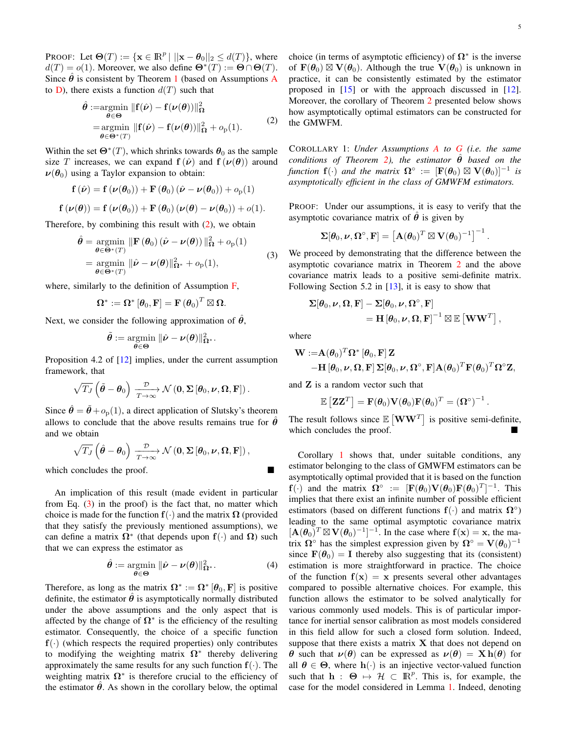PROOF: Let  $\Theta(T) := \{ \mathbf{x} \in \mathbb{R}^p \mid ||\mathbf{x} - \theta_0||_2 \le d(T) \}$ , where  $d(T) = o(1)$ . Moreover, we also define  $\mathbf{\Theta}^*(T) := \mathbf{\Theta} \cap \mathbf{\Theta}(T)$ . Since  $\hat{\theta}$  is consistent by Theorem [1](#page-3-1) (based on [A](#page-2-0)ssumptions A to [D\)](#page-3-0), there exists a function  $d(T)$  such that

<span id="page-4-0"></span>
$$
\hat{\theta} := \underset{\theta \in \Theta}{\operatorname{argmin}} \|\mathbf{f}(\hat{\nu}) - \mathbf{f}(\nu(\theta))\|_{\Omega}^{2}
$$
\n
$$
= \underset{\theta \in \Theta^{*}(T)}{\operatorname{argmin}} \|\mathbf{f}(\hat{\nu}) - \mathbf{f}(\nu(\theta))\|_{\Omega}^{2} + o_{p}(1). \tag{2}
$$

Within the set  $\mathbf{\Theta}^*(T)$ , which shrinks towards  $\boldsymbol{\theta}_0$  as the sample size T increases, we can expand  $f(\hat{\nu})$  and  $f(\nu(\theta))$  around  $\nu(\theta_0)$  using a Taylor expansion to obtain:

$$
\mathbf{f}(\hat{\boldsymbol{\nu}}) = \mathbf{f}(\boldsymbol{\nu}(\boldsymbol{\theta}_0)) + \mathbf{F}(\boldsymbol{\theta}_0) (\hat{\boldsymbol{\nu}} - \boldsymbol{\nu}(\boldsymbol{\theta}_0)) + o_p(1)
$$

$$
\mathbf{f}(\boldsymbol{\nu}(\boldsymbol{\theta})) = \mathbf{f}(\boldsymbol{\nu}(\boldsymbol{\theta}_0)) + \mathbf{F}(\boldsymbol{\theta}_0) (\boldsymbol{\nu}(\boldsymbol{\theta}) - \boldsymbol{\nu}(\boldsymbol{\theta}_0)) + o(1).
$$

Therefore, by combining this result with  $(2)$ , we obtain

<span id="page-4-1"></span>
$$
\hat{\theta} = \underset{\theta \in \Theta^*(T)}{\operatorname{argmin}} \|\mathbf{F}(\theta_0) (\hat{\boldsymbol{\nu}} - \boldsymbol{\nu}(\theta))\|_{\Omega}^2 + o_p(1)
$$
\n
$$
= \underset{\theta \in \Theta^*(T)}{\operatorname{argmin}} \|\hat{\boldsymbol{\nu}} - \boldsymbol{\nu}(\theta)\|_{\Omega^*}^2 + o_p(1),
$$
\n(3)

where, similarly to the definition of Assumption  $\overline{F}$ ,

$$
\boldsymbol{\Omega}^*:=\boldsymbol{\Omega}^*\left[\boldsymbol{\theta}_0,\mathbf{F}\right]=\mathbf{F}\left(\boldsymbol{\theta}_0\right)^T\boxtimes\boldsymbol{\Omega}.
$$

Next, we consider the following approximation of  $\hat{\theta}$ ,

$$
\tilde{\boldsymbol{\theta}} := \operatornamewithlimits{argmin}_{\boldsymbol{\theta} \in \boldsymbol{\Theta}} \|\hat{\boldsymbol{\nu}} - \boldsymbol{\nu}(\boldsymbol{\theta})\|_{\boldsymbol{\Omega}^*}^2.
$$

Proposition 4.2 of [\[12\]](#page-7-12) implies, under the current assumption framework, that

$$
\sqrt{T_J}\left(\tilde{\boldsymbol{\theta}} - \boldsymbol{\theta}_0\right) \xrightarrow[T \to \infty]{\mathcal{D}} \mathcal{N}\left(\mathbf{0}, \boldsymbol{\Sigma}\left[\boldsymbol{\theta}_0, \boldsymbol{\nu}, \boldsymbol{\Omega}, \mathbf{F}\right]\right).
$$

Since  $\hat{\theta} = \tilde{\theta} + o_p(1)$ , a direct application of Slutsky's theorem allows to conclude that the above results remains true for  $\hat{\theta}$ and we obtain

$$
\sqrt{T_J}\left(\hat{\theta}-\theta_0\right)\xrightarrow[T\to\infty]{\mathcal{D}} \mathcal{N}\left(\mathbf{0},\boldsymbol{\Sigma}\left[\theta_0,\boldsymbol{\nu},\boldsymbol{\Omega},\mathbf{F}\right]\right),\,
$$

which concludes the proof.

An implication of this result (made evident in particular from Eq. [\(3\)](#page-4-1) in the proof) is the fact that, no matter which choice is made for the function  $f(\cdot)$  and the matrix  $\Omega$  (provided that they satisfy the previously mentioned assumptions), we can define a matrix  $\Omega^*$  (that depends upon  $f(\cdot)$  and  $\Omega$ ) such that we can express the estimator as

$$
\hat{\boldsymbol{\theta}} := \underset{\boldsymbol{\theta} \in \boldsymbol{\Theta}}{\operatorname{argmin}} \ \|\hat{\boldsymbol{\nu}} - \boldsymbol{\nu}(\boldsymbol{\theta})\|_{\Omega^*}^2. \tag{4}
$$

Therefore, as long as the matrix  $\mathbf{\Omega}^* := \mathbf{\Omega}^* \left[ \boldsymbol{\theta}_0, \mathbf{F} \right]$  is positive definite, the estimator  $\hat{\theta}$  is asymptotically normally distributed under the above assumptions and the only aspect that is affected by the change of  $\Omega^*$  is the efficiency of the resulting estimator. Consequently, the choice of a specific function  $f(\cdot)$  (which respects the required properties) only contributes to modifying the weighting matrix  $\Omega^*$  thereby delivering approximately the same results for any such function  $f(.)$ . The weighting matrix  $\Omega^*$  is therefore crucial to the efficiency of the estimator  $\hat{\theta}$ . As shown in the corollary below, the optimal .

choice (in terms of asymptotic efficiency) of  $\Omega^*$  is the inverse of  $\mathbf{F}(\theta_0) \boxtimes \mathbf{V}(\theta_0)$ . Although the true  $\mathbf{V}(\theta_0)$  is unknown in practice, it can be consistently estimated by the estimator proposed in [\[15\]](#page-7-15) or with the approach discussed in [\[12\]](#page-7-12). Moreover, the corollary of Theorem [2](#page-3-5) presented below shows how asymptotically optimal estimators can be constructed for the GMWFM.

<span id="page-4-2"></span>COROLLARY 1: *Under Assumptions [A](#page-2-0) to [G](#page-3-4) (i.e. the same conditions of Theorem [2\)](#page-3-5), the estimator*  $\hat{\theta}$  *based on the function*  $f(\cdot)$  *and the matrix*  $\Omega^\circ := [\mathbf{F}(\theta_0) \boxtimes \mathbf{V}(\theta_0)]^{-1}$  *is asymptotically efficient in the class of GMWFM estimators.*

PROOF: Under our assumptions, it is easy to verify that the asymptotic covariance matrix of  $\hat{\theta}$  is given by

$$
\boldsymbol{\Sigma}[\boldsymbol{\theta}_0, \boldsymbol{\nu}, \boldsymbol{\Omega}^\circ, \mathbf{F}] = \left[\mathbf{A}(\boldsymbol{\theta}_0)^T \boxtimes \mathbf{V}(\boldsymbol{\theta}_0)^{-1}\right]^{-1}
$$

We proceed by demonstrating that the difference between the asymptotic covariance matrix in Theorem [2](#page-3-5) and the above covariance matrix leads to a positive semi-definite matrix. Following Section 5.2 in [\[13\]](#page-7-13), it is easy to show that

$$
\begin{aligned} \boldsymbol{\Sigma}[\pmb\theta_{0},\pmb\nu,\pmb\Omega,\mathbf{F}] - \boldsymbol{\Sigma}[\pmb\theta_{0},\pmb\nu,\pmb\Omega^{\circ},\mathbf{F}] \\ & = \mathbf{H}\left[\pmb\theta_{0},\pmb\nu,\pmb\Omega,\mathbf{F}\right]^{-1}\boxtimes\mathbb{E}\left[\mathbf{W}\mathbf{W}^{T}\right], \end{aligned}
$$

where

$$
\begin{aligned} \mathbf{W} := & \mathbf{A}(\boldsymbol{\theta}_0)^T \boldsymbol{\Omega}^* \left[\boldsymbol{\theta}_0, \mathbf{F}\right] \mathbf{Z} \\ & - \mathbf{H} \left[\boldsymbol{\theta}_0, \boldsymbol{\nu}, \boldsymbol{\Omega}, \mathbf{F}\right] \boldsymbol{\Sigma}[\boldsymbol{\theta}_0, \boldsymbol{\nu}, \boldsymbol{\Omega}^\circ, \mathbf{F}] \mathbf{A}(\boldsymbol{\theta}_0)^T \mathbf{F}(\boldsymbol{\theta}_0)^T \boldsymbol{\Omega}^\circ \mathbf{Z}, \end{aligned}
$$

and Z is a random vector such that

$$
\mathbb{E}\left[\mathbf{Z}\mathbf{Z}^T\right] = \mathbf{F}(\boldsymbol{\theta}_0)\mathbf{V}(\boldsymbol{\theta}_0)\mathbf{F}(\boldsymbol{\theta}_0)^T = \left(\mathbf{\Omega}^\circ\right)^{-1}.
$$

The result follows since  $\mathbb{E} \left[ \mathbf{WW}^T \right]$  is positive semi-definite, which concludes the proof.

Corollary [1](#page-4-2) shows that, under suitable conditions, any estimator belonging to the class of GMWFM estimators can be asymptotically optimal provided that it is based on the function  $f(\cdot)$  and the matrix  $\Omega^{\circ} := [F(\theta_0) V(\theta_0) F(\theta_0)^T]^{-1}$ . This implies that there exist an infinite number of possible efficient estimators (based on different functions  $f(·)$  and matrix  $\Omega$ <sup>°</sup>) leading to the same optimal asymptotic covariance matrix  $[\mathbf{A}(\theta_0)^T \boxtimes \mathbf{V}(\theta_0)^{-1}]^{-1}$ . In the case where  $\mathbf{f}(\mathbf{x}) = \mathbf{x}$ , the matrix  $\mathbf{\Omega}^{\circ}$  has the simplest expression given by  $\mathbf{\Omega}^{\circ} = \mathbf{V}(\theta_0)^{-1}$ since  $\mathbf{F}(\theta_0) = \mathbf{I}$  thereby also suggesting that its (consistent) estimation is more straightforward in practice. The choice of the function  $f(x) = x$  presents several other advantages compared to possible alternative choices. For example, this function allows the estimator to be solved analytically for various commonly used models. This is of particular importance for inertial sensor calibration as most models considered in this field allow for such a closed form solution. Indeed, suppose that there exists a matrix  $X$  that does not depend on θ such that  $ν(θ)$  can be expressed as  $ν(θ) = X h(θ)$  for all  $\theta \in \Theta$ , where  $h(\cdot)$  is an injective vector-valued function such that  $h : \Theta \mapsto \mathcal{H} \subset \mathbb{R}^p$ . This is, for example, the case for the model considered in Lemma [1.](#page-2-3) Indeed, denoting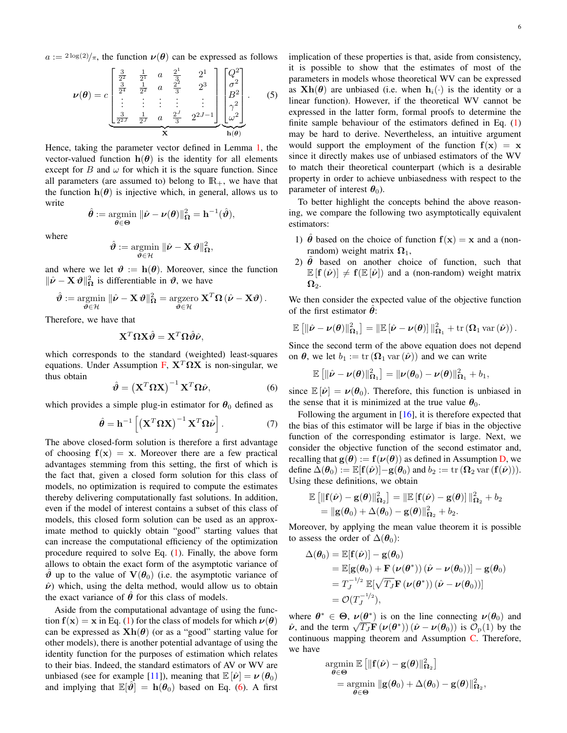$a := {}^{2 \log(2)} / \pi$ , the function  $\nu(\theta)$  can be expressed as follows

$$
\nu(\theta) = c \begin{bmatrix} \frac{3}{2^2} & \frac{1}{2^1} & a & \frac{2^1}{3} & 2^1 \\ \frac{3}{2^4} & \frac{1}{2^2} & a & \frac{2^2}{3} & 2^3 \\ \vdots & \vdots & \vdots & \vdots & \vdots \\ \frac{3}{2^2J} & \frac{1}{2^J} & a & \frac{2^J}{3} & 2^{2J-1} \end{bmatrix} \begin{bmatrix} Q^2 \\ \sigma^2 \\ B^2 \\ \gamma^2 \\ \omega^2 \end{bmatrix} . \qquad (5)
$$

Hence, taking the parameter vector defined in Lemma [1,](#page-2-3) the vector-valued function  $h(\theta)$  is the identity for all elements except for B and  $\omega$  for which it is the square function. Since all parameters (are assumed to) belong to  $\mathbb{R}_+$ , we have that the function  $h(\theta)$  is injective which, in general, allows us to write

$$
\hat{\theta} := \underset{\theta \in \Theta}{\operatorname{argmin}} \ \|\hat{\nu} - \nu(\theta)\|_{\Omega}^2 = h^{-1}(\hat{\vartheta}),
$$

where

$$
\hat{\boldsymbol{\vartheta}} := \operatornamewithlimits{argmin}_{\boldsymbol{\vartheta} \in \mathcal{H}} \, \|\hat{\boldsymbol{\nu}} - \mathbf{X} \, \boldsymbol{\vartheta}\|_{\boldsymbol{\Omega}}^2,
$$

and where we let  $\theta := h(\theta)$ . Moreover, since the function  $\|\hat{\boldsymbol{\nu}} - \mathbf{X} \boldsymbol{\vartheta}\|^2_{\Omega}$  is differentiable in  $\boldsymbol{\vartheta}$ , we have

$$
\hat{\boldsymbol{\vartheta}} := \operatorname*{argmin}_{\boldsymbol{\vartheta} \in \mathcal{H}} \|\hat{\boldsymbol{\nu}} - \mathbf{X} \boldsymbol{\vartheta}\|_{\boldsymbol{\Omega}}^2 = \operatorname*{argzero}_{\boldsymbol{\vartheta} \in \mathcal{H}} \mathbf{X}^T \boldsymbol{\Omega} (\hat{\boldsymbol{\nu}} - \mathbf{X} \boldsymbol{\vartheta}).
$$

Therefore, we have that

$$
\mathbf{X}^T \mathbf{\Omega} \mathbf{X} \hat{\theta} = \mathbf{X}^T \mathbf{\Omega} \hat{\theta} \hat{\nu},
$$

which corresponds to the standard (weighted) least-squares equations. Under Assumption [F,](#page-3-3)  $X^T \Omega X$  is non-singular, we thus obtain

<span id="page-5-0"></span>
$$
\hat{\boldsymbol{\vartheta}} = \left(\mathbf{X}^T \boldsymbol{\Omega} \mathbf{X}\right)^{-1} \mathbf{X}^T \boldsymbol{\Omega} \hat{\boldsymbol{\nu}},
$$
\n(6)

which provides a simple plug-in estimator for  $\theta_0$  defined as

$$
\hat{\theta} = \mathbf{h}^{-1} \left[ \left( \mathbf{X}^T \Omega \mathbf{X} \right)^{-1} \mathbf{X}^T \Omega \hat{\boldsymbol{\nu}} \right]. \tag{7}
$$

The above closed-form solution is therefore a first advantage of choosing  $f(x) = x$ . Moreover there are a few practical advantages stemming from this setting, the first of which is the fact that, given a closed form solution for this class of models, no optimization is required to compute the estimates thereby delivering computationally fast solutions. In addition, even if the model of interest contains a subset of this class of models, this closed form solution can be used as an approximate method to quickly obtain "good" starting values that can increase the computational efficiency of the optimization procedure required to solve Eq. [\(1\)](#page-1-2). Finally, the above form allows to obtain the exact form of the asymptotic variance of  $\vartheta$  up to the value of  $V(\theta_0)$  (i.e. the asymptotic variance of  $\hat{\nu}$ ) which, using the delta method, would allow us to obtain the exact variance of  $\hat{\theta}$  for this class of models.

Aside from the computational advantage of using the function  $f(x) = x$  in Eq. [\(1\)](#page-1-2) for the class of models for which  $\nu(\theta)$ can be expressed as  $Xh(\theta)$  (or as a "good" starting value for other models), there is another potential advantage of using the identity function for the purposes of estimation which relates to their bias. Indeed, the standard estimators of AV or WV are unbiased (see for example [\[11\]](#page-7-11)), meaning that  $\mathbb{E}[\hat{\nu}] = \nu(\theta_0)$ and implying that  $\mathbb{E}[\hat{\theta}] = \mathbf{h}(\theta_0)$  based on Eq. [\(6\)](#page-5-0). A first implication of these properties is that, aside from consistency, it is possible to show that the estimates of most of the parameters in models whose theoretical WV can be expressed as  $\mathbf{Xh}(\theta)$  are unbiased (i.e. when  $\mathbf{h}_i(\cdot)$  is the identity or a linear function). However, if the theoretical WV cannot be expressed in the latter form, formal proofs to determine the finite sample behaviour of the estimators defined in Eq.  $(1)$ may be hard to derive. Nevertheless, an intuitive argument would support the employment of the function  $f(x) = x$ since it directly makes use of unbiased estimators of the WV to match their theoretical counterpart (which is a desirable property in order to achieve unbiasedness with respect to the parameter of interest  $\theta_0$ ).

To better highlight the concepts behind the above reasoning, we compare the following two asymptotically equivalent estimators:

- 1)  $\hat{\theta}$  based on the choice of function  $f(x) = x$  and a (nonrandom) weight matrix  $\Omega_1$ ,
- 2)  $\theta$  based on another choice of function, such that  $\mathbb{E}[\mathbf{f}(\hat{\boldsymbol{\nu}})] \neq \mathbf{f}(\mathbb{E}[\hat{\boldsymbol{\nu}}])$  and a (non-random) weight matrix  $\bm{\Omega}_2$ .

We then consider the expected value of the objective function of the first estimator  $\hat{\theta}$ :

$$
\mathbb{E}\left[\left\|\hat{\boldsymbol{\nu}}-\boldsymbol{\nu}(\boldsymbol{\theta})\right\|_{\boldsymbol{\Omega}_1}^2\right] = \left\|\mathbb{E}\left[\hat{\boldsymbol{\nu}}-\boldsymbol{\nu}(\boldsymbol{\theta})\right]\right\|_{\boldsymbol{\Omega}_1}^2 + \text{tr}\left(\boldsymbol{\Omega}_1\,\text{var}\left(\hat{\boldsymbol{\nu}}\right)\right).
$$

Since the second term of the above equation does not depend on  $\theta$ , we let  $b_1 := \text{tr}(\Omega_1 \text{var}(\hat{\nu}))$  and we can write

$$
\mathbb{E}\left[\left\|\hat{\boldsymbol{\nu}}-\boldsymbol{\nu}(\boldsymbol{\theta})\right\|_{\boldsymbol{\Omega}_1}^2\right] = \|\boldsymbol{\nu}(\boldsymbol{\theta}_0)-\boldsymbol{\nu}(\boldsymbol{\theta})\|_{\boldsymbol{\Omega}_1}^2 + b_1,
$$

since  $\mathbb{E}[\hat{\nu}] = \nu(\theta_0)$ . Therefore, this function is unbiased in the sense that it is minimized at the true value  $\theta_0$ .

Following the argument in  $[16]$ , it is therefore expected that the bias of this estimator will be large if bias in the objective function of the corresponding estimator is large. Next, we consider the objective function of the second estimator and, recalling that  $g(\theta) := f(\nu(\theta))$  as defined in Assumption [D,](#page-3-0) we define  $\Delta(\boldsymbol{\theta}_0) := \mathbb{E}[\mathbf{f}(\hat{\boldsymbol{\nu}})] - \mathbf{g}(\boldsymbol{\theta}_0)$  and  $b_2 := \text{tr}(\boldsymbol{\Omega}_2 \text{var}(\mathbf{f}(\hat{\boldsymbol{\nu}}))).$ Using these definitions, we obtain

$$
\mathbb{E} \left[ \|\mathbf{f}(\hat{\boldsymbol{\nu}}) - \mathbf{g}(\boldsymbol{\theta})\|_{\Omega_2}^2 \right] = \|\mathbb{E} [\mathbf{f}(\hat{\boldsymbol{\nu}}) - \mathbf{g}(\boldsymbol{\theta})] \|_{\Omega_2}^2 + b_2
$$
  
= 
$$
\|\mathbf{g}(\boldsymbol{\theta}_0) + \Delta(\boldsymbol{\theta}_0) - \mathbf{g}(\boldsymbol{\theta}) \|_{\Omega_2}^2 + b_2.
$$

Moreover, by applying the mean value theorem it is possible to assess the order of  $\Delta(\theta_0)$ :

$$
\Delta(\boldsymbol{\theta}_0) = \mathbb{E}[\mathbf{f}(\hat{\boldsymbol{\nu}})] - \mathbf{g}(\boldsymbol{\theta}_0)
$$
  
\n
$$
= \mathbb{E}[\mathbf{g}(\boldsymbol{\theta}_0) + \mathbf{F}(\boldsymbol{\nu}(\boldsymbol{\theta}^*)) (\hat{\boldsymbol{\nu}} - \boldsymbol{\nu}(\boldsymbol{\theta}_0))] - \mathbf{g}(\boldsymbol{\theta}_0)
$$
  
\n
$$
= T_J^{-1/2} \mathbb{E}[\sqrt{T_J} \mathbf{F}(\boldsymbol{\nu}(\boldsymbol{\theta}^*)) (\hat{\boldsymbol{\nu}} - \boldsymbol{\nu}(\boldsymbol{\theta}_0))]
$$
  
\n
$$
= \mathcal{O}(T_J^{-1/2}),
$$

where  $\theta^* \in \Theta$ ,  $\nu(\theta^*)$  is on the line connecting  $\nu(\theta_0)$  and  $\hat{\nu}$ , and the term  $\sqrt{T_J} \mathbf{F} (\nu(\theta^*)) (\hat{\nu} - \nu(\theta_0))$  is  $\mathcal{O}_p(1)$  by the continuous mapping theorem and Assumption [C.](#page-2-2) Therefore, we have

$$
\operatorname*{argmin}_{\boldsymbol{\theta} \in \Theta} \mathbb{E} \left[ \| \mathbf{f}(\hat{\boldsymbol{\nu}}) - \mathbf{g}(\boldsymbol{\theta}) \|_{\Omega_2}^2 \right] \n= \operatorname*{argmin}_{\boldsymbol{\theta} \in \Theta} \| \mathbf{g}(\boldsymbol{\theta}_0) + \Delta(\boldsymbol{\theta}_0) - \mathbf{g}(\boldsymbol{\theta}) \|_{\Omega_2}^2,
$$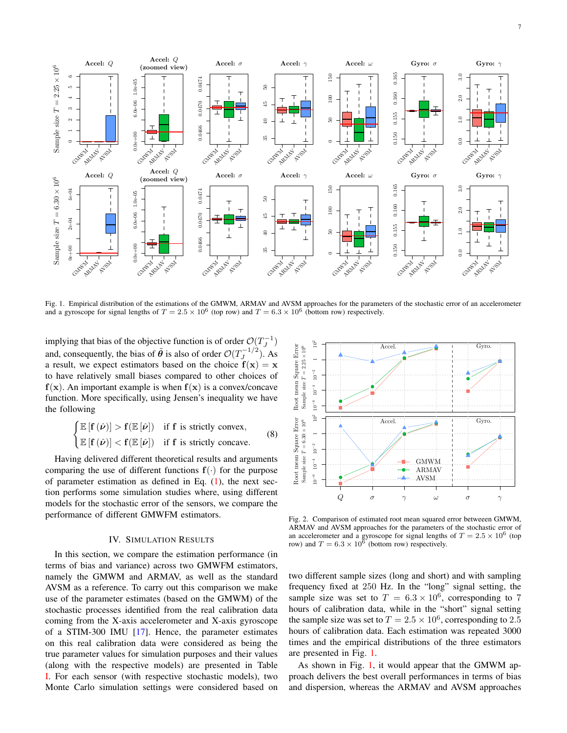

<span id="page-6-1"></span>Fig. 1. Empirical distribution of the estimations of the GMWM, ARMAV and AVSM approaches for the parameters of the stochastic error of an accelerometer and a gyroscope for signal lengths of  $T = 2.5 \times 10^6$  (top row) and  $T = 6.3 \times 10^6$  (bottom row) respectively.

implying that bias of the objective function is of order  $O(T_J^{-1})$ and, consequently, the bias of  $\tilde{\theta}$  is also of order  $\mathcal{O}(T_J^{-1/2})$ . As a result, we expect estimators based on the choice  $f(x) = x$ to have relatively small biases compared to other choices of  $f(x)$ . An important example is when  $f(x)$  is a convex/concave function. More specifically, using Jensen's inequality we have the following

$$
\begin{cases} \mathbb{E} [f(\hat{\nu})] > f(\mathbb{E} [\hat{\nu}]) & \text{if } f \text{ is strictly convex,} \\ \mathbb{E} [f(\hat{\nu})] < f(\mathbb{E} [\hat{\nu}]) & \text{if } f \text{ is strictly concave.} \end{cases}
$$
(8)

Having delivered different theoretical results and arguments comparing the use of different functions  $f(\cdot)$  for the purpose of parameter estimation as defined in Eq.  $(1)$ , the next section performs some simulation studies where, using different models for the stochastic error of the sensors, we compare the performance of different GMWFM estimators.

## IV. SIMULATION RESULTS

<span id="page-6-0"></span>In this section, we compare the estimation performance (in terms of bias and variance) across two GMWFM estimators, namely the GMWM and ARMAV, as well as the standard AVSM as a reference. To carry out this comparison we make use of the parameter estimates (based on the GMWM) of the stochastic processes identified from the real calibration data coming from the X-axis accelerometer and X-axis gyroscope of a STIM-300 IMU [\[17\]](#page-7-17). Hence, the parameter estimates on this real calibration data were considered as being the true parameter values for simulation purposes and their values (along with the respective models) are presented in Table [I.](#page-7-18) For each sensor (with respective stochastic models), two Monte Carlo simulation settings were considered based on



<span id="page-6-2"></span>Fig. 2. Comparison of estimated root mean squared error betweeen GMWM, ARMAV and AVSM approaches for the parameters of the stochastic error of an accelerometer and a gyroscope for signal lengths of  $T = 2.5 \times 10^6$  (top row) and  $T = 6.3 \times 10^6$  (bottom row) respectively.

two different sample sizes (long and short) and with sampling frequency fixed at 250 Hz. In the "long" signal setting, the sample size was set to  $T = 6.3 \times 10^6$ , corresponding to 7 hours of calibration data, while in the "short" signal setting the sample size was set to  $T = 2.5 \times 10^6$ , corresponding to 2.5 hours of calibration data. Each estimation was repeated 3000 times and the empirical distributions of the three estimators are presented in Fig. [1.](#page-6-1)

As shown in Fig. [1,](#page-6-1) it would appear that the GMWM approach delivers the best overall performances in terms of bias and dispersion, whereas the ARMAV and AVSM approaches